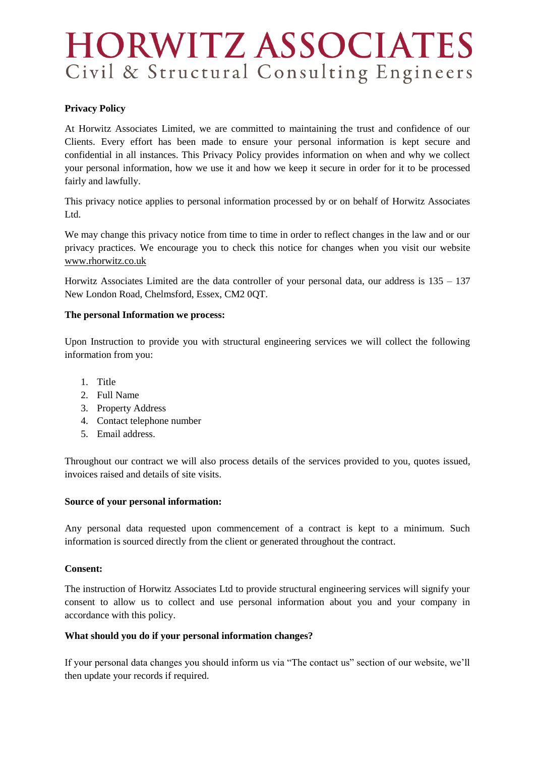# **HORWITZ ASSOCIATES** Civil & Structural Consulting Engineers

# **Privacy Policy**

At Horwitz Associates Limited, we are committed to maintaining the trust and confidence of our Clients. Every effort has been made to ensure your personal information is kept secure and confidential in all instances. This Privacy Policy provides information on when and why we collect your personal information, how we use it and how we keep it secure in order for it to be processed fairly and lawfully.

This privacy notice applies to personal information processed by or on behalf of Horwitz Associates Ltd.

We may change this privacy notice from time to time in order to reflect changes in the law and or our privacy practices. We encourage you to check this notice for changes when you visit our website [www.rhorwitz.co.uk](http://www.rhorwitz.co.uk/)

Horwitz Associates Limited are the data controller of your personal data, our address is  $135 - 137$ New London Road, Chelmsford, Essex, CM2 0QT.

## **The personal Information we process:**

Upon Instruction to provide you with structural engineering services we will collect the following information from you:

- 1. Title
- 2. Full Name
- 3. Property Address
- 4. Contact telephone number
- 5. Email address.

Throughout our contract we will also process details of the services provided to you, quotes issued, invoices raised and details of site visits.

#### **Source of your personal information:**

Any personal data requested upon commencement of a contract is kept to a minimum. Such information is sourced directly from the client or generated throughout the contract.

#### **Consent:**

The instruction of Horwitz Associates Ltd to provide structural engineering services will signify your consent to allow us to collect and use personal information about you and your company in accordance with this policy.

# **What should you do if your personal information changes?**

If your personal data changes you should inform us via "The contact us" section of our website, we'll then update your records if required.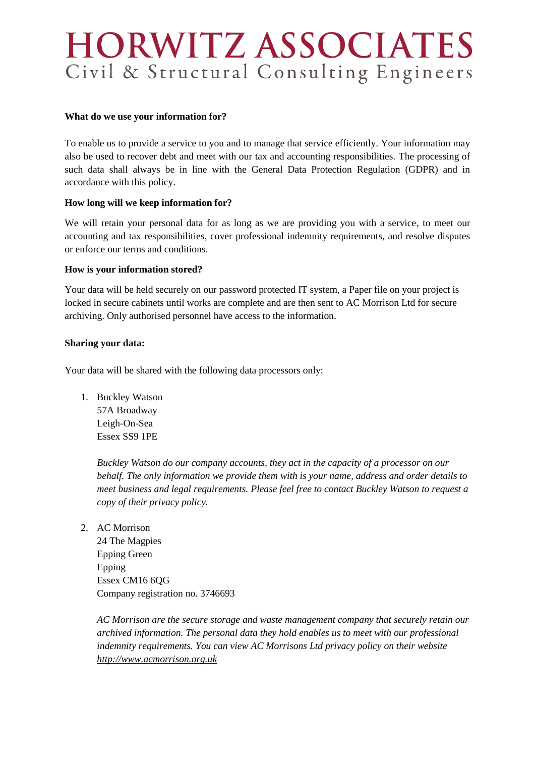# **HORWITZ ASSOCIATES** Civil & Structural Consulting Engineers

#### **What do we use your information for?**

To enable us to provide a service to you and to manage that service efficiently. Your information may also be used to recover debt and meet with our tax and accounting responsibilities. The processing of such data shall always be in line with the General Data Protection Regulation (GDPR) and in accordance with this policy.

# **How long will we keep information for?**

We will retain your personal data for as long as we are providing you with a service, to meet our accounting and tax responsibilities, cover professional indemnity requirements, and resolve disputes or enforce our terms and conditions.

## **How is your information stored?**

Your data will be held securely on our password protected IT system, a Paper file on your project is locked in secure cabinets until works are complete and are then sent to AC Morrison Ltd for secure archiving. Only authorised personnel have access to the information.

#### **Sharing your data:**

Your data will be shared with the following data processors only:

1. Buckley Watson 57A Broadway Leigh-On-Sea Essex SS9 1PE

> *Buckley Watson do our company accounts, they act in the capacity of a processor on our behalf. The only information we provide them with is your name, address and order details to meet business and legal requirements. Please feel free to contact Buckley Watson to request a copy of their privacy policy.*

2. AC Morrison

24 The Magpies Epping Green Epping Essex CM16 6QG Company registration no. 3746693

*AC Morrison are the secure storage and waste management company that securely retain our archived information. The personal data they hold enables us to meet with our professional indemnity requirements. You can view AC Morrisons Ltd privacy policy on their website [http://www.acmorrison.org.uk](http://www.acmorrison.org.uk/)*